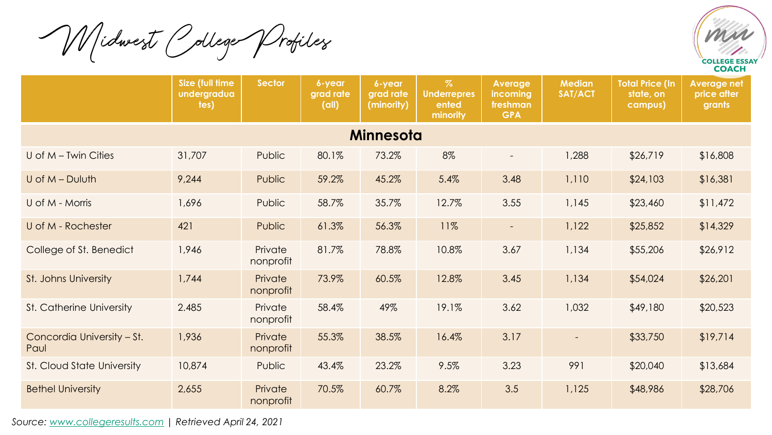Midwest College Profiles



|                                    | <b>Size (full time)</b><br>undergradua<br>tes) | <b>Sector</b>        | 6-year<br>grad rate<br>(d  ) | 6-year<br>grad rate<br>(minority) | $\%$<br><b>Underrepres</b><br>ented<br>minority | <b>Average</b><br>incoming<br>freshman<br><b>GPA</b> | <b>Median</b><br><b>SAT/ACT</b> | <b>Total Price (In</b><br>state, on<br>campus) | <b>Average net</b><br>price after<br>grants |  |  |  |
|------------------------------------|------------------------------------------------|----------------------|------------------------------|-----------------------------------|-------------------------------------------------|------------------------------------------------------|---------------------------------|------------------------------------------------|---------------------------------------------|--|--|--|
| <b>Minnesota</b>                   |                                                |                      |                              |                                   |                                                 |                                                      |                                 |                                                |                                             |  |  |  |
| U of $M$ – Twin Cities             | 31,707                                         | Public               | 80.1%                        | 73.2%                             | 8%                                              | $\blacksquare$                                       | 1,288                           | \$26,719                                       | \$16,808                                    |  |  |  |
| $U$ of $M - D$ uluth               | 9,244                                          | Public               | 59.2%                        | 45.2%                             | 5.4%                                            | 3.48                                                 | 1,110                           | \$24,103                                       | \$16,381                                    |  |  |  |
| U of M - Morris                    | 1,696                                          | Public               | 58.7%                        | 35.7%                             | 12.7%                                           | 3.55                                                 | 1,145                           | \$23,460                                       | \$11,472                                    |  |  |  |
| U of M - Rochester                 | 421                                            | Public               | 61.3%                        | 56.3%                             | 11%                                             | $\overline{\phantom{a}}$                             | 1,122                           | \$25,852                                       | \$14,329                                    |  |  |  |
| College of St. Benedict            | 1,946                                          | Private<br>nonprofit | 81.7%                        | 78.8%                             | 10.8%                                           | 3.67                                                 | 1,134                           | \$55,206                                       | \$26,912                                    |  |  |  |
| St. Johns University               | 1,744                                          | Private<br>nonprofit | 73.9%                        | 60.5%                             | 12.8%                                           | 3.45                                                 | 1,134                           | \$54,024                                       | \$26,201                                    |  |  |  |
| St. Catherine University           | 2.485                                          | Private<br>nonprofit | 58.4%                        | 49%                               | 19.1%                                           | 3.62                                                 | 1,032                           | \$49,180                                       | \$20,523                                    |  |  |  |
| Concordia University - St.<br>Paul | 1,936                                          | Private<br>nonprofit | 55.3%                        | 38.5%                             | 16.4%                                           | 3.17                                                 |                                 | \$33,750                                       | \$19,714                                    |  |  |  |
| St. Cloud State University         | 10,874                                         | Public               | 43.4%                        | 23.2%                             | 9.5%                                            | 3.23                                                 | 991                             | \$20,040                                       | \$13,684                                    |  |  |  |
| <b>Bethel University</b>           | 2,655                                          | Private<br>nonprofit | 70.5%                        | 60.7%                             | 8.2%                                            | 3.5                                                  | 1,125                           | \$48,986                                       | \$28,706                                    |  |  |  |

*Source: [www.collegeresults.com](http://www.collegeresults.com/) | Retrieved April 24, 2021*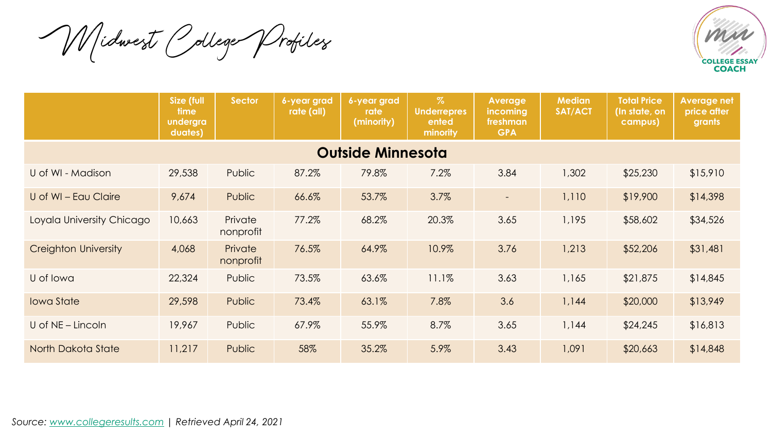Midwest College Profiles



|                             | <b>Size (full</b><br>time<br>undergra<br>duates) | <b>Sector</b>        | 6-year grad<br>rate (all) | 6-year grad<br>rate<br>(minority) | $\%$<br><b>Underrepres</b><br>ented<br>minority | Average<br><b>incoming</b><br>freshman<br><b>GPA</b> | <b>Median</b><br>SAT/ACT | <b>Total Price</b><br>(In state, on<br>campus) | <b>Average net</b><br>price after<br>grants |  |  |  |
|-----------------------------|--------------------------------------------------|----------------------|---------------------------|-----------------------------------|-------------------------------------------------|------------------------------------------------------|--------------------------|------------------------------------------------|---------------------------------------------|--|--|--|
| <b>Outside Minnesota</b>    |                                                  |                      |                           |                                   |                                                 |                                                      |                          |                                                |                                             |  |  |  |
| U of WI - Madison           | 29,538                                           | Public               | 87.2%                     | 79.8%                             | 7.2%                                            | 3.84                                                 | 1,302                    | \$25,230                                       | \$15,910                                    |  |  |  |
| U of WI - Eau Claire        | 9,674                                            | Public               | 66.6%                     | 53.7%                             | 3.7%                                            | $\sim$                                               | 1,110                    | \$19,900                                       | \$14,398                                    |  |  |  |
| Loyala University Chicago   | 10,663                                           | Private<br>nonprofit | 77.2%                     | 68.2%                             | 20.3%                                           | 3.65                                                 | 1,195                    | \$58,602                                       | \$34,526                                    |  |  |  |
| <b>Creighton University</b> | 4,068                                            | Private<br>nonprofit | 76.5%                     | 64.9%                             | 10.9%                                           | 3.76                                                 | 1,213                    | \$52,206                                       | \$31,481                                    |  |  |  |
| U of Iowa                   | 22,324                                           | Public               | 73.5%                     | 63.6%                             | 11.1%                                           | 3.63                                                 | 1,165                    | \$21,875                                       | \$14,845                                    |  |  |  |
| <b>Iowa State</b>           | 29,598                                           | Public               | 73.4%                     | 63.1%                             | 7.8%                                            | 3.6                                                  | 1,144                    | \$20,000                                       | \$13,949                                    |  |  |  |
| U of NE - Lincoln           | 19,967                                           | Public               | 67.9%                     | 55.9%                             | 8.7%                                            | 3.65                                                 | 1,144                    | \$24,245                                       | \$16,813                                    |  |  |  |
| North Dakota State          | 11,217                                           | Public               | 58%                       | 35.2%                             | 5.9%                                            | 3.43                                                 | 1,091                    | \$20,663                                       | \$14,848                                    |  |  |  |